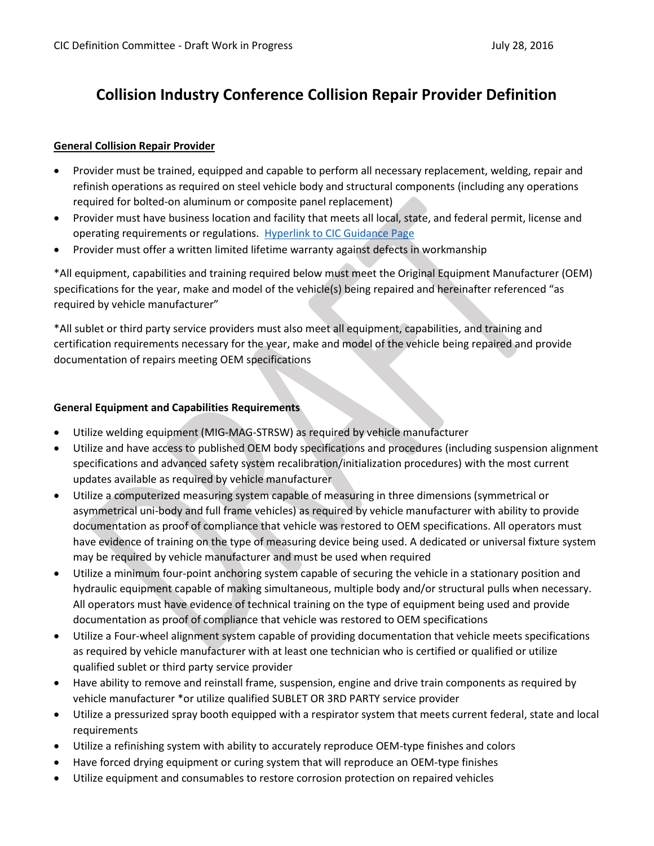# **Collision Industry Conference Collision Repair Provider Definition**

### **General Collision Repair Provider**

- Provider must be trained, equipped and capable to perform all necessary replacement, welding, repair and refinish operations as required on steel vehicle body and structural components (including any operations required for bolted-on aluminum or composite panel replacement)
- Provider must have business location and facility that meets all local, state, and federal permit, license and operating requirements or regulations. [Hyperlink to CIC Guidance Page](http://ciccomplyandsustain.com/)
- Provider must offer a written limited lifetime warranty against defects in workmanship

\*All equipment, capabilities and training required below must meet the Original Equipment Manufacturer (OEM) specifications for the year, make and model of the vehicle(s) being repaired and hereinafter referenced "as required by vehicle manufacturer"

\*All sublet or third party service providers must also meet all equipment, capabilities, and training and certification requirements necessary for the year, make and model of the vehicle being repaired and provide documentation of repairs meeting OEM specifications

#### **General Equipment and Capabilities Requirements**

- Utilize welding equipment (MIG-MAG-STRSW) as required by vehicle manufacturer
- Utilize and have access to published OEM body specifications and procedures (including suspension alignment specifications and advanced safety system recalibration/initialization procedures) with the most current updates available as required by vehicle manufacturer
- Utilize a computerized measuring system capable of measuring in three dimensions (symmetrical or asymmetrical uni-body and full frame vehicles) as required by vehicle manufacturer with ability to provide documentation as proof of compliance that vehicle was restored to OEM specifications. All operators must have evidence of training on the type of measuring device being used. A dedicated or universal fixture system may be required by vehicle manufacturer and must be used when required
- Utilize a minimum four-point anchoring system capable of securing the vehicle in a stationary position and hydraulic equipment capable of making simultaneous, multiple body and/or structural pulls when necessary. All operators must have evidence of technical training on the type of equipment being used and provide documentation as proof of compliance that vehicle was restored to OEM specifications
- Utilize a Four-wheel alignment system capable of providing documentation that vehicle meets specifications as required by vehicle manufacturer with at least one technician who is certified or qualified or utilize qualified sublet or third party service provider
- Have ability to remove and reinstall frame, suspension, engine and drive train components as required by vehicle manufacturer \*or utilize qualified SUBLET OR 3RD PARTY service provider
- Utilize a pressurized spray booth equipped with a respirator system that meets current federal, state and local requirements
- Utilize a refinishing system with ability to accurately reproduce OEM-type finishes and colors
- Have forced drying equipment or curing system that will reproduce an OEM-type finishes
- Utilize equipment and consumables to restore corrosion protection on repaired vehicles